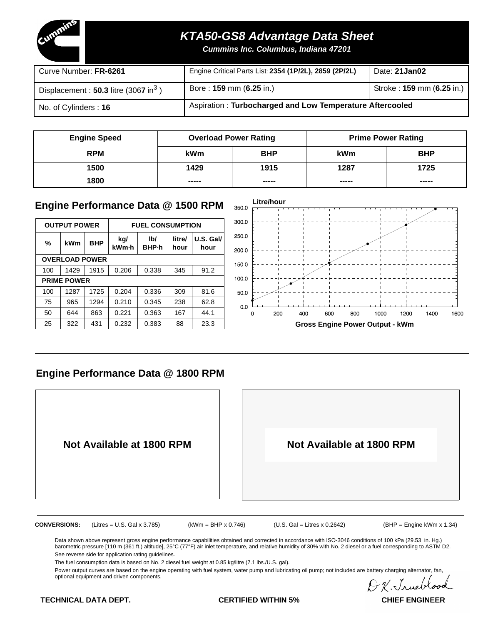

# **KTA50-GS8 Advantage Data Sheet**

**Cummins Inc. Columbus, Indiana 47201**

| Curve Number: FR-6261                              | Engine Critical Parts List: 2354 (1P/2L), 2859 (2P/2L)   | Date: 21 Jan02            |
|----------------------------------------------------|----------------------------------------------------------|---------------------------|
| Displacement: $50.3$ litre (3067 in <sup>3</sup> ) | Bore: 159 mm (6.25 in.)                                  | Stroke: 159 mm (6.25 in.) |
| No. of Cylinders: 16                               | Aspiration: Turbocharged and Low Temperature Aftercooled |                           |

| <b>Engine Speed</b> | <b>Overload Power Rating</b> |            |       | <b>Prime Power Rating</b> |
|---------------------|------------------------------|------------|-------|---------------------------|
| <b>RPM</b>          | <b>kWm</b>                   | <b>BHP</b> | kWm   | <b>BHP</b>                |
| 1500                | 1429                         | 1915       | 1287  | 1725                      |
| 1800                | -----                        | -----      | ----- | -----                     |

## **Engine Performance Data @ 1500 RPM**

|     | <b>OUTPUT POWER</b>   |            |       | <b>FUEL CONSUMPTION</b> | 3000   |           |                |     |
|-----|-----------------------|------------|-------|-------------------------|--------|-----------|----------------|-----|
| %   | kWm                   | <b>BHP</b> | kg/   | lb/                     | litre/ | U.S. Gall | 2500           |     |
|     |                       |            | kWm-h | <b>BHP</b> -h           | hour   | hour      | 200.0          |     |
|     | <b>OVERLOAD POWER</b> |            |       |                         |        |           | 150.0          |     |
| 100 | 1429                  | 1915       | 0.206 | 0.338                   | 345    | 91.2      |                |     |
|     | <b>PRIME POWER</b>    |            |       |                         |        |           | 1000           |     |
| 100 | 1287                  | 1725       | 0.204 | 0.336                   | 309    | 81.6      | 500            |     |
| 75  | 965                   | 1294       | 0.210 | 0.345                   | 238    | 62.8      | 0 <sub>0</sub> |     |
| 50  | 644                   | 863        | 0.221 | 0.363                   | 167    | 44.1      | 0              | 200 |
| 25  | 322                   | 431        | 0.232 | 0.383                   | 88     | 23.3      |                |     |



## **Engine Performance Data @ 1800 RPM**



Data shown above represent gross engine performance capabilities obtained and corrected in accordance with ISO-3046 conditions of 100 kPa (29.53 in. Hg.) barometric pressure [110 m (361 ft.) altitude], 25°C (77°F) air inlet temperature, and relative humidity of 30% with No. 2 diesel or a fuel corresponding to ASTM D2. See reverse side for application rating guidelines.

The fuel consumption data is based on No. 2 diesel fuel weight at 0.85 kg/litre (7.1 lbs./U.S. gal).

Power output curves are based on the engine operating with fuel system, water pump and lubricating oil pump; not included are battery charging alternator, fan, optional equipment and driven components.

AV. Jrueb

**TECHNICAL DATA DEPT. CERTIFIED WITHIN 5% CHIEF ENGINEER**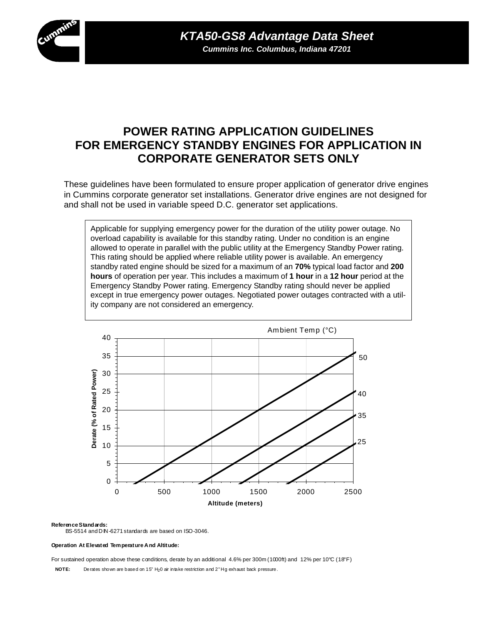

# **POWER RATING APPLICATION GUIDELINES FOR EMERGENCY STANDBY ENGINES FOR APPLICATION IN CORPORATE GENERATOR SETS ONLY**

These guidelines have been formulated to ensure proper application of generator drive engines in Cummins corporate generator set installations. Generator drive engines are not designed for and shall not be used in variable speed D.C. generator set applications.

Applicable for supplying emergency power for the duration of the utility power outage. No overload capability is available for this standby rating. Under no condition is an engine allowed to operate in parallel with the public utility at the Emergency Standby Power rating. This rating should be applied where reliable utility power is available. An emergency standby rated engine should be sized for a maximum of an **70%** typical load factor and **200 hours** of operation per year. This includes a maximum of **1 hour** in a **12 hour** period at the Emergency Standby Power rating. Emergency Standby rating should never be applied except in true emergency power outages. Negotiated power outages contracted with a utility company are not considered an emergency.



### **Reference Standards:**

BS-5514 and D IN-6271 standards are based on ISO-3046.

### **Operation At Elevated Temperature And Altitude:**

For sustained operation above these conditions, derate by an additional 4.6% per 300m (1000ft) and 12% per 10°C (18°F)

**NOTE:** Derates shown are based on 15" H<sub>2</sub>0 air in take restriction and 2" Hg exhaust back pressure.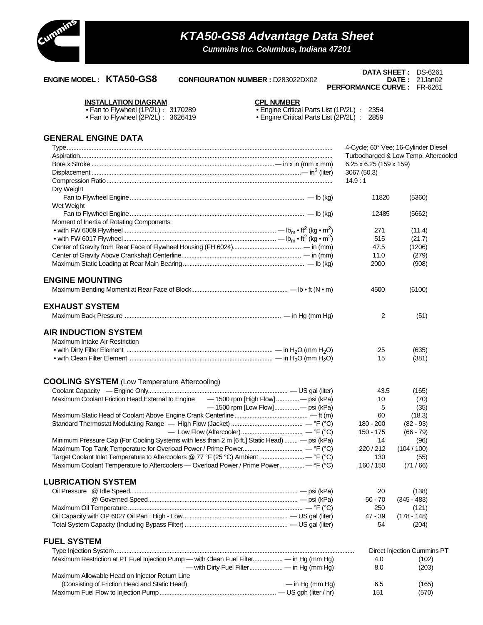

# **KTA50-GS8 Advantage Data Sheet**

**Cummins Inc. Columbus, Indiana 47201**

### **ENGINE MODEL : KTA50-GS8 CONFIGURATION NUMBER :** D283022DX02 **DATE :** 21Jan02

### **DATA SHEET :** DS-6261 **PERFORMANCE CURVE :** FR-6261

# **INSTALLATION DIAGRAM CPL NUMBER •** Fan to Flywheel (1P/2L) : 3170289 • Engine Critical Parts List (1P/2L) : 2354

|  | PL NUMBER                |  |  |
|--|--------------------------|--|--|
|  | Engine Critical Parte Li |  |  |

**•** Fan to Flywheel (2P/2L) : 3626419 • Engine Critical Parts List (2P/2L) : 2859

### **GENERAL ENGINE DATA**

|                                                                                                |                                | 4-Cycle; 60° Vee; 16-Cylinder Diesel |
|------------------------------------------------------------------------------------------------|--------------------------------|--------------------------------------|
|                                                                                                |                                | Turbocharged & Low Temp. Aftercooled |
|                                                                                                | $6.25 \times 6.25$ (159 x 159) |                                      |
|                                                                                                | 3067 (50.3)                    |                                      |
|                                                                                                | 14.9:1                         |                                      |
| Dry Weight                                                                                     |                                |                                      |
|                                                                                                | 11820                          | (5360)                               |
| Wet Weight                                                                                     |                                |                                      |
|                                                                                                | 12485                          | (5662)                               |
| Moment of Inertia of Rotating Components                                                       |                                |                                      |
|                                                                                                | 271                            | (11.4)                               |
|                                                                                                | 515                            | (21.7)                               |
|                                                                                                | 47.5                           | (1206)                               |
|                                                                                                | 11.0                           | (279)                                |
|                                                                                                | 2000                           | (908)                                |
| <b>ENGINE MOUNTING</b>                                                                         |                                |                                      |
|                                                                                                | 4500                           | (6100)                               |
| <b>EXHAUST SYSTEM</b>                                                                          |                                |                                      |
|                                                                                                | 2                              | (51)                                 |
| <b>AIR INDUCTION SYSTEM</b>                                                                    |                                |                                      |
| Maximum Intake Air Restriction                                                                 |                                |                                      |
|                                                                                                | 25                             | (635)                                |
|                                                                                                | 15                             | (381)                                |
|                                                                                                |                                |                                      |
| <b>COOLING SYSTEM</b> (Low Temperature Aftercooling)                                           |                                |                                      |
|                                                                                                | 43.5                           | (165)                                |
| Maximum Coolant Friction Head External to Engine<br>— 1500 rpm [High Flow] — psi (kPa)         | 10                             | (70)                                 |
| -4500 rpm [Low Flow]- psi (kPa)                                                                | 5                              | (35)                                 |
|                                                                                                | 60                             | (18.3)                               |
|                                                                                                | 180 - 200                      | $(82 - 93)$                          |
|                                                                                                | 150 - 175                      | $(66 - 79)$                          |
| Minimum Pressure Cap (For Cooling Systems with less than 2 m [6 ft.] Static Head)  - psi (kPa) | 14                             | (96)                                 |
|                                                                                                | 220 / 212                      | (104/100)                            |
| Target Coolant Inlet Temperature to Aftercoolers @ 77 °F (25 °C) Ambient  - °F (°C)            | 130                            | (55)                                 |
| Maximum Coolant Temperature to Aftercoolers — Overload Power / Prime Power - °F (°C)           | 160 / 150                      | (71/66)                              |
| <b>LUBRICATION SYSTEM</b>                                                                      |                                |                                      |
|                                                                                                | 20                             | (138)                                |
|                                                                                                | $50 - 70$                      | $(345 - 483)$                        |
|                                                                                                | 250                            | (121)                                |
|                                                                                                | 47 - 39                        | $(178 - 148)$                        |
|                                                                                                | 54                             | (204)                                |
| <b>FUEL SYSTEM</b>                                                                             |                                |                                      |
|                                                                                                |                                | Direct Injection Cummins PT          |
| Maximum Restriction at PT Fuel Injection Pump — with Clean Fuel Filter — in Hg (mm Hg)         | 4.0                            | (102)                                |
|                                                                                                | 8.0                            | (203)                                |
| Maximum Allowable Head on Injector Return Line                                                 |                                |                                      |
| (Consisting of Friction Head and Static Head)<br>$-$ in Hg (mm Hg)                             | 6.5                            | (165)                                |

Maximum Fuel Flow to Injection Pump...................................................................... — US gph (liter / hr) 151 (570)